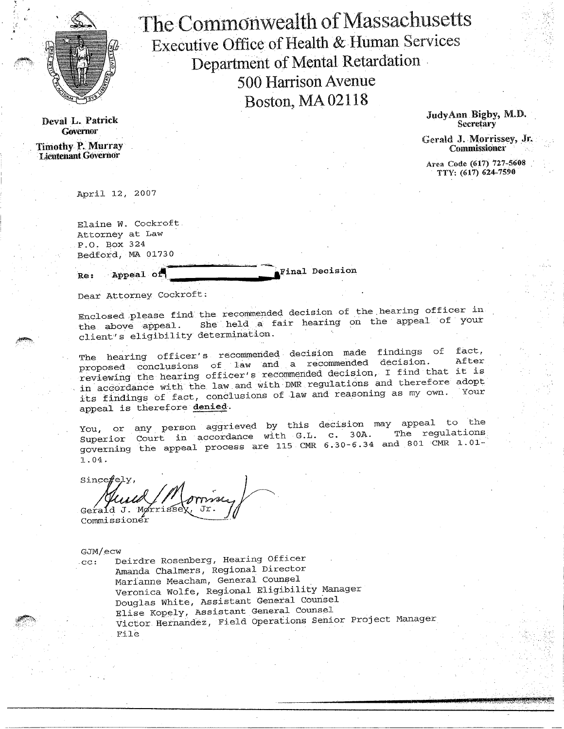

Deval L. Patrick **Governor** 

Timothy P. Murray Lieutenant. Governor

The Commonwealth of Massachusetts Executive Office of Health & Human Services Department of Mental Retardation 500 Harrison Avenue Boston, MA 02118

JudyAnu Bigby, M.D. **Secretary** 

Gerald J. Morrissey, Jr. Commissioner

Area Code (617) 727-5608 TTY: (617) 624-7590

April 12, 2007

Elaine W. Cockroft. Attorney at Law .P.O. Box 324 13edfOrd, MA 01730

Re: Appeal of **Final Decision** 

Dear Attorney Cockroft:

Enclosed:please find the recommended decision of the.hearing officer in the above appeal. She held a fair hearing on the appeal of your client's eligibility determination. •

The hearing officer's recommended decision made findings of proposed conclusions of law and a recommended decision. reviewing the hearing officer's recommended decision, I find that in accordance with the law and with DMR regulations and therefore adopt its findings of fact, conclusions of law and reasoning as my own. Your appeal is therefore denied. fact, After it is

You, or any person aggrieved by this decision may appeal to the Superior Court in accordance with G.L. c. 30A. governing the appeal process are 115 CMR  $6.30-6.34$  and 801 CMR  $1.01-$ 1.04.

 $Since  $f \in \mathcal{V}$$ Gerald J. Morrisse Commissioner

GJM/ecw

.cc: Deirdre Rosenberg, Hearing Officer Amanda Chalmers, Regional Director Marianne Meacham, General Counsel Veronica Wolfe, Regional Eligibility Manager Douglas White, Assistant General Counsel Elise Kopely, Assistant General Counsel Victor. Hernandez, Field Operations Senior Project Manager File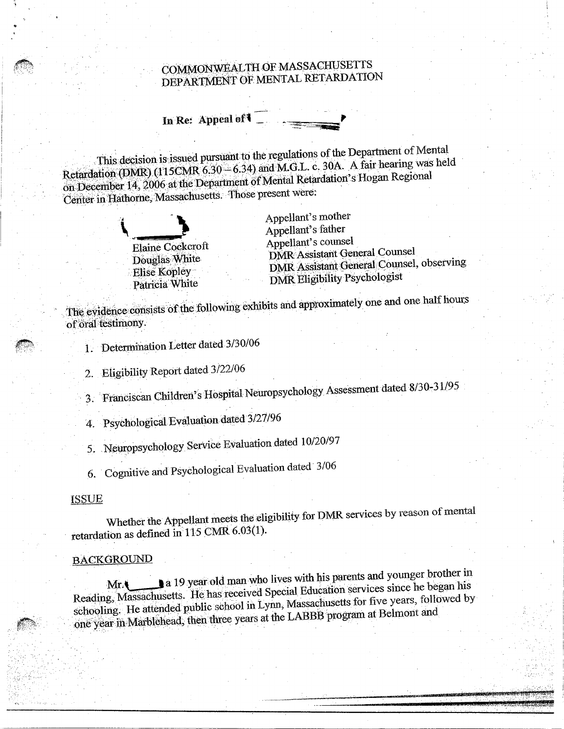# COMMONWEALTH OF MASSACHUSETTS DEPARTMENT OF MENTAL RETARDATION

In Re: Appeal of  $\blacksquare$ 

This decision is issued pursuant to the regulations of the Department of Mental Retardation (DMR) (115CMR  $6.30 - 6.34$ ) and M.G.L. c. 30A. A fair hearing was held on December 14, 2006 at the Department of Mental Retardation's Hogan Regional Center in Hathorne, Massachusetts. Those present were:



Appellant's father Appellant's mother Elaine Cockcroft Appellant's counsel Douglas White DMR Assistant General Counsel Elise Kopley DMR Assistant General Counsel, observing Patricia White DMR Eligibility Psychologist

The evidence consists of the:following exhibits and approximately one and one half hours of oral testimony.

1. Determination Letter dated 3/30/06

2. Eligibility Report dated 3/22/06

3. Franciscan Children's Hospital Neuropsychology Assessment dated 8/30-31/95

4. Psychological Evaluation dated 3/27/96

5. Neuropsychology Service Evaluation dated 10/20/97

6. Cognitive and Psychological Evaluation dated 3/06

ISSUE

Whether the Appellant meets the eligibility for DMR services by reason of mental retardation as defined in 115 CMR 6.03(1).

#### **BACKGROUND**

**ja** 19 year old man who lives with his parents and younger brother in Reading, Massachusetts. He has received Special Education services since he began his schooling. He attended public school in Lynn, Massachusetts for five years, followed by one year in Marblehead, then three years at the LABBB program at Belmont and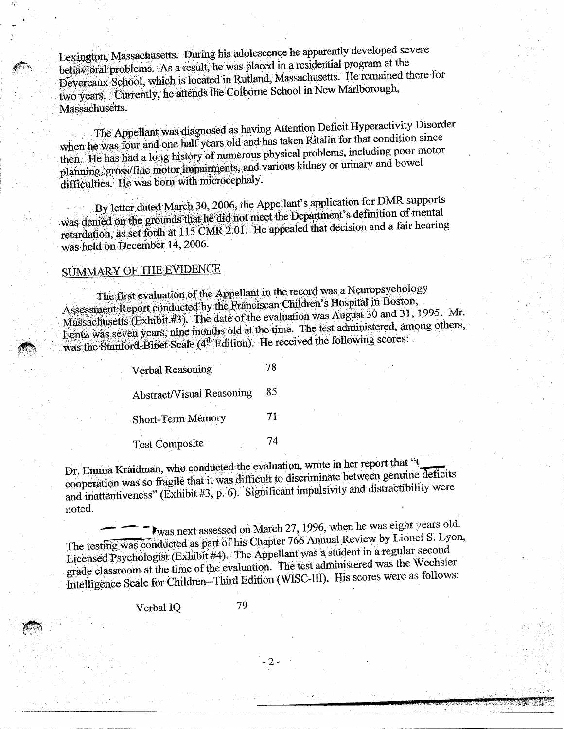Lexington, Massachusetts. During his adolescence he apparently developed severe behavioral problems. As a result, he was placed in a residential program at the Devereaux School, which is located in. Rutland, Massachusetts. He remained there for two years. Currently, he attends the Colborne School in New Marlborough, Massachusetts.

The Appellantwas diagnosed as having Attention Deficit Hyperactivity Disorder when he was four and one half years old and has taken Ritalin for that condition since then. Hehas had a long history of numerous physical problems, including poor motor planning, gross/fine motor impairments, and various kidney or urinary and bowel difficulties. He was born with microcephaly.

By letter dated March 30, 2006, the Appellant's application for MIR. supports was denied on the grounds that he did not meet the Department's definition of mental retardation, as set forth at 115 CMR 2.01. He appealed that decision and a fair hearing was held on December 14, 2006.

## SUMMARY OF THE EVIDENCE

The first evaluation of the Appellant in the record was a Neuropsychology Assessment Report conducted by the Franciscan Children's Hospital in Boston, Massachusetts (Exhibit #3). The date of the evaluation was August 30 and 31 1995. Mr. Lentz was seven years, nine months old at the time The test administered, among others, was the Stanford-Binet Scale ( $4<sup>th</sup>$  Edition). He received the following scores:

> Verbal Reasoning 78 Abstract/Visual Reasoning 85 Short-Term Memory 71 Test Composite 74

Abstract/Visual Reasoning<br>
Short-Term Memory<br>
Test Composite<br>
Dr. Emma Kraidman, who conducted the evaluation, wrote in her report that ".<br>
cooperation was so fragile that it was difficult to discriminate between genuine d cooperation was so fragile that it was difficult to discriminate between genuine deficit and inattentiveness" (Exhibit #3, p. 6). Significant impulsivity and distractibility were noted.

Twas next assessed on March 27, 1996, when he was eight years old. The testing was conducted as part of his Chapter 766 Annual Review by Lionel S. Lyon, Licensed Psychologist (Exhibit #4). The Appellant was a student in a regular second grade classroom at the time of the evaluation. The test administered was the Wechsler Intelligence Scale for Children--Third Edition (WISC-III). His scores were as follows:

Verbal IQ 79

- 2 -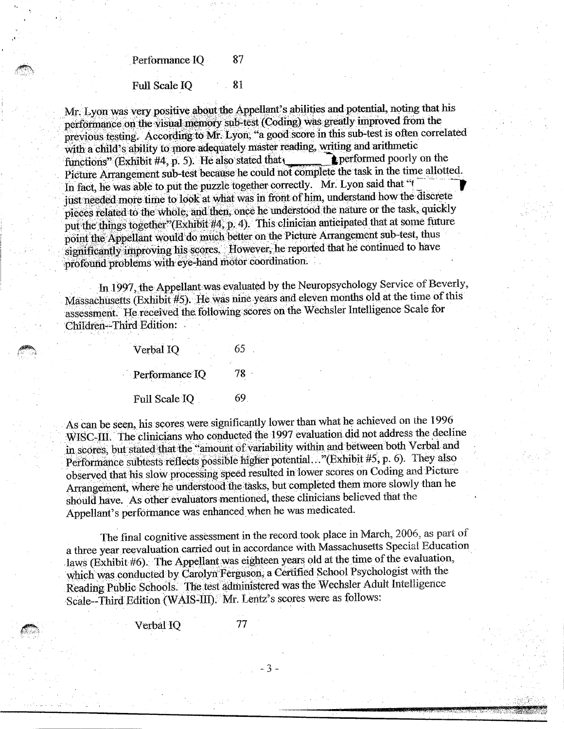Performance IQ 87

#### Full Scale IQ 81

Mr. Lyon was very positive about the Appellant's abilities and potential, noting that his performance on the visual memory sub-test (Coding) was greatly improved from the previons testing. According to Mr, Lyon; "a good.Score in this sub-test is often correlated with a child's ability to more adequately master reading, writing and arithmetic inctions" (Exhibit #4. p. 5). He also stated that  $\bullet$  performed poorly on the functions" (Exhibit #4, p. 5). He also stated that performed poorly on the Picture Arrangement sub-test because he could not complete the task in the time allotted. In fact, he was able to put the puzzle together correctly. Mr. Lyon said that "( just needed more time to look at what was in front of him, understand how the discrete pieces related to the whole, and then, once he understood the nature or the task, quickly put the things together"(Exhibit #4, p. 4). This clinician anticipated that at some future point the Appellant would do much better on the Picture Arrangement sub-test, thus significantly improving his scores. However, he reported that he continued to have profound problems with eye-hand motor coordination.

In 1997, the Appellant was evaluated by the Neuropsychology Service of Beverly, Massachusetts (Exhibit #5). He was nine years and eleven months old at the time of this assessment. He received the. following scores on the Wechsler Intelligence Scale for Children—Third Edition:

| Verbal IQ      | 65 |
|----------------|----|
| Performance IQ | 78 |
| Full Scale IQ  | 69 |

As can be seen, his scores were significantly lower than what he achieved on the 1996 WISC-IIL The clinicians who conducted the 1997 evaluation did not address the decline in scores, but stated that the "amount of variability within and between both Verbal and As can be seen<br>WISC-III. The scores, but<br>Performance ount of Performance subtests reflects possible higher potential..." (Exhibit #5, p. 6). They also observed that his slow procesSing speed resulted in lower scores on Coding and Picture Arrangement, where he understood the tasks, but completed them more slowly than he should have. As other evaluators mentioned, these clinicians believed that the Appellant's performance was enhanced when he was medicated.

The final cognitive assessment in the record took place in March, 2006, as part of a three year reevaluation carried out in accordance with Massachusetts Special Education laws (Exhibit #6). The Appellant was eighteen years old at the time of the evaluation, which was conducted by Carolyn Ferguson; a Certified School Psychologist with the Reading Public Schools. The test adininistered was the Wechsler Adult Intelligence Scale--Third Edition (WAIS-III). Mr. Lentz's scores were as follows:

Verbal IQ 77

. -3-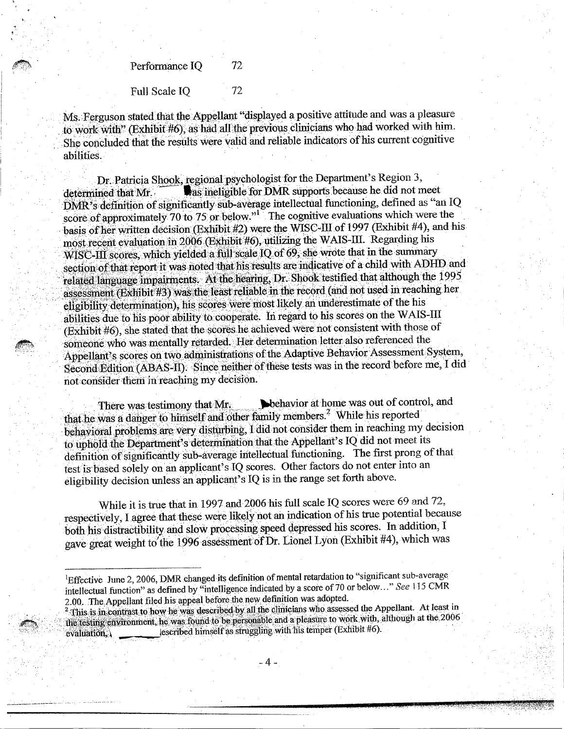Performance IQ 72

Full Scale IQ 72

Ms. Ferguson. stated that the Appellant "displayed a positive attitude and was a pleasure to work with" (Exhibit #6), as had all the previous clinicians who had worked with him. She concluded that the results were valid and reliable indicators of his current cognitive abilities.

Dr. Patricia Shook, regional psychologist for the Department's Region 3, determined that Mr. **Sameligible for DMR** supports because he did not meet DMR'S, definition of significantly Sub-average intellectual functioning, defined as "an 1Q score of approximately 70 to 75 or below."<sup>1</sup> The cognitive evaluations which were the basis of her written decision (Exhibit #2) were the WISC-III of 1997 (Exhibit #4), and his most recent evaluation in 2006 (Exhibit #6), utilizing the WAIS-III. Regarding his WISC-III scores, which yielded a full-scale IQ of 69, she wrote that in the summary section of that report it was noted that his results are indicative of a child with ADHD and related language impairments. At the hearing, Dr.. Shook testified that although the 1995 assessment C-III :<br>on of<br>ed lan<br>bility (Exhibit #3) was the least reliable in the record (and not used in reaching her . eligibility determination), his scores were most likely an underestimate of the his abilities due to his poor ability to cooperate. In regard to his scores on the WAIS-III (Exhibit #6), she stated that the scores he achieved were not consistent with those of someone who was mentally retarded. Her determination letter also referenced the Appellant's scores on two administrations of the Adaptive Behavior Assessment System, Second Edition (ABAS-II). Since neither of these tests was in the record before me, 'I did not consider them in reaching my decision.

There was testimony that Mr. **Illustration** behavior at home was out of control, and that he was a danger to himself and other family members.<sup>2</sup> While his reported behavioral problems are very disturbing, I did not consider them in reaching my decision to uphold the Department's determination that the Appellant's IQ did not meet its definition of significantly sub-average intelleetual finictioning. The first prong of that test is based solely on an applicant's IQ scores. Other factors do not enter into an eligibility decision unless an applicant's IQ is in the range set forth above.

While it is true that in 1997 and 2006 his full scale IQ scores were 69 and 72, respectively, I agree that these were likely not an indication of his true potential because both his distractibility and slow processing speed depressed his scores. In addition, I gave great weight to'the 1996 assessment of Dr. Lionel Lyon (Exhibit #4), which was

<sup>&</sup>lt;sup>1</sup>Effective June 2, 2006, DMR changed its definition of mental retardation to "significant sub-average intellectual function" as defined by "intelligence indicated by a score of 70 or below..." See 115 CMR 2.00. The Appellant filed his appeal before the new definition was adopted.

This is in contrast to how he was described by all the clinicians who assessed the Appellant. At least in flie festing environment, he was found to be personable and a pleasure to work with, although at the 2006 evaluation; $\frac{1}{4}$  escribed himself as struggling with his temper (Exhibit #6).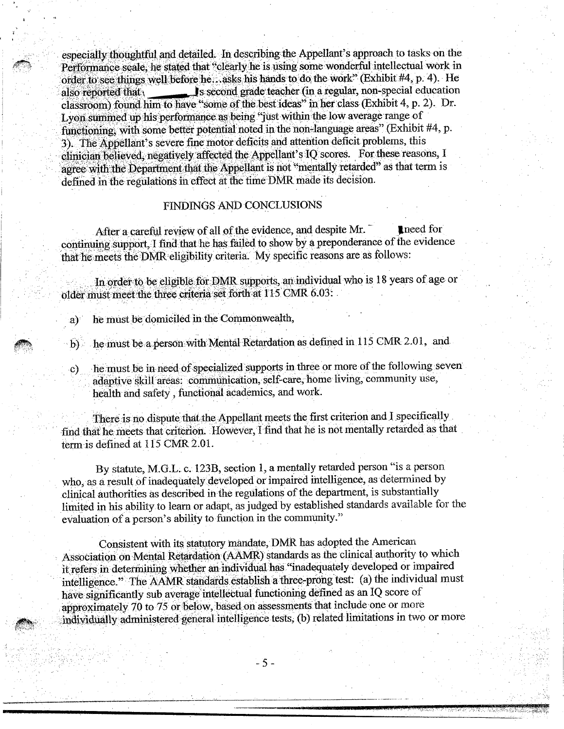especially thoughtful and detailed. In describing the Appellant's approach to tasks on the Performance scale, he stated that "clearly he is using some wonderful intellectual work in order to see things well before he...asks his hands to do the work" (Exhibit #4, p. 4). He also reported that second grade teacher (in a regular, non-special education classroom) found him to have "some of the bestideas" m her class (Exhibit 4, p. 2). Dr. Lyon summed up his performance as being "just within the low average range of functioning, with some better potential noted in the non-language areas" (Exhibit #4, p. 3). The Appellant's severe fine motor deficits and attention deficit problems, this clinician believed, negatively affected the Appellant's IO scores. For these reasons, I agree with the Department that the Appellant is not "mentally retarded" as that term is defined in the regulations in effect at the time DMR made its decision.

### FINDINGS AND CONCLUSIONS

After a careful review of all of the evidence, and despite Mr. continuing support, I find that he has failed to show by a preponderance of the evidence that he meets the DMR eligibility criteria. My specific reasons are as follows:

In order :to be eligible. for DMR supports, an individual who is 18 years of age or older must meet the three criteria set forth at 115 CMR 6.03:

a). he must be domiciled in the Commonwealth,

b) he must be a person with Mental Retardation as defined in 115 CMR 2.01, and

c) he must be in need of specialized supports in three or more of the following seven adaptive skill areas: communication, self-care, home living, community use, health and safety , functional academics, and work.

There is no dispute that the Appellant meets the first criterion and I specifically find that he meets that criterion. However, I find that he is not mentally retarded as that term is defined at 115 CMR 2.01.

By statute, M.G.L. c. 123B, section 1, a mentally retarded person "is a person who, as a result of inadequately developed or impaired intelligence, as determined by clinical authorities as described in the regulations of the department, is substantially limited in his ability to learn or adapt, as judged by established standards available for the evaluation of a person's ability to function in the community."

Consistent with its statutory mandate, DMR has adopted the American Association on Mental Retardation (AAMR) standards as the clinical authority to which it refers in determining whether an individual has "inadequately developed or impaired intelligence." The AAMR standards establish a three-prong test: (a) the individual must have significantly sub average intellectual functioning defined as an IQ score of approximately 70 to 75 or below, based on assessments that include one or more individually administered general intelligence tests, (b) related limitations in two or more

 $-5-$